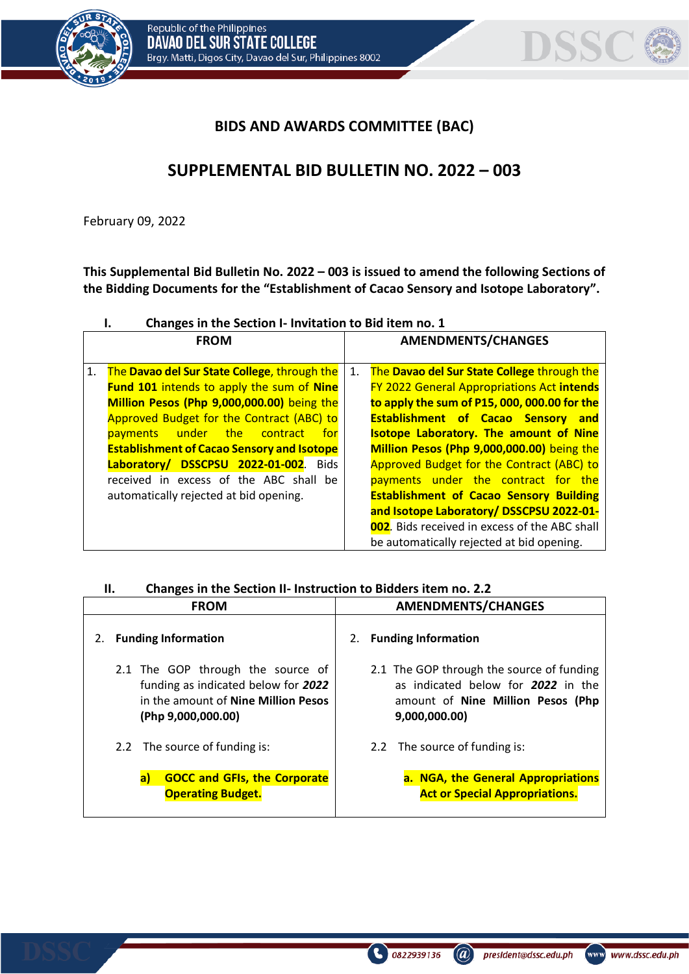

## **BIDS AND AWARDS COMMITTEE (BAC)**

# **SUPPLEMENTAL BID BULLETIN NO. 2022 – 003**

February 09, 2022

**This Supplemental Bid Bulletin No. 2022 – 003 is issued to amend the following Sections of the Bidding Documents for the "Establishment of Cacao Sensory and Isotope Laboratory".**

|    | Changes in the Section I- Invitation to Bid item no. 1                                                                                                                                                                                                                                                                                                                                                          |                           |                                                                                                                                                                                                                                                                                                                                                                                                                                                                                                                                 |  |  |  |  |  |
|----|-----------------------------------------------------------------------------------------------------------------------------------------------------------------------------------------------------------------------------------------------------------------------------------------------------------------------------------------------------------------------------------------------------------------|---------------------------|---------------------------------------------------------------------------------------------------------------------------------------------------------------------------------------------------------------------------------------------------------------------------------------------------------------------------------------------------------------------------------------------------------------------------------------------------------------------------------------------------------------------------------|--|--|--|--|--|
|    | <b>FROM</b>                                                                                                                                                                                                                                                                                                                                                                                                     | <b>AMENDMENTS/CHANGES</b> |                                                                                                                                                                                                                                                                                                                                                                                                                                                                                                                                 |  |  |  |  |  |
| 1. | The Davao del Sur State College, through the<br>Fund 101 intends to apply the sum of Nine<br>Million Pesos (Php 9,000,000.00) being the<br>Approved Budget for the Contract (ABC) to<br>under the contract<br>payments<br>for<br><b>Establishment of Cacao Sensory and Isotope</b><br>Laboratory/ DSSCPSU 2022-01-002. Bids<br>received in excess of the ABC shall be<br>automatically rejected at bid opening. | 1.                        | The Davao del Sur State College through the<br><b>FY 2022 General Appropriations Act intends</b><br>to apply the sum of P15, 000, 000.00 for the<br><b>Establishment of Cacao Sensory and</b><br><b>Isotope Laboratory. The amount of Nine</b><br>Million Pesos (Php 9,000,000.00) being the<br>Approved Budget for the Contract (ABC) to<br>payments under the contract for the<br><b>Establishment of Cacao Sensory Building</b><br>and Isotope Laboratory/ DSSCPSU 2022-01-<br>002. Bids received in excess of the ABC shall |  |  |  |  |  |
|    |                                                                                                                                                                                                                                                                                                                                                                                                                 |                           | be automatically rejected at bid opening.                                                                                                                                                                                                                                                                                                                                                                                                                                                                                       |  |  |  |  |  |

| Н. | Changes in the Section II- Instruction to Bidders item no. 2.2 |
|----|----------------------------------------------------------------|
|----|----------------------------------------------------------------|

| <b>FROM</b>                                                                                                                                  | <b>AMENDMENTS/CHANGES</b>                                                                                                             |  |  |  |  |
|----------------------------------------------------------------------------------------------------------------------------------------------|---------------------------------------------------------------------------------------------------------------------------------------|--|--|--|--|
| <b>Funding Information</b><br>2.                                                                                                             | <b>Funding Information</b><br>2.                                                                                                      |  |  |  |  |
| 2.1 The GOP through the source of<br>funding as indicated below for 2022<br>in the amount of <b>Nine Million Pesos</b><br>(Php 9,000,000.00) | 2.1 The GOP through the source of funding<br>as indicated below for 2022 in the<br>amount of Nine Million Pesos (Php<br>9,000,000.00) |  |  |  |  |
| 2.2 The source of funding is:                                                                                                                | 2.2 The source of funding is:                                                                                                         |  |  |  |  |
| <b>GOCC and GFIs, the Corporate</b><br>a)<br><b>Operating Budget.</b>                                                                        | a. NGA, the General Appropriations<br><b>Act or Special Appropriations.</b>                                                           |  |  |  |  |

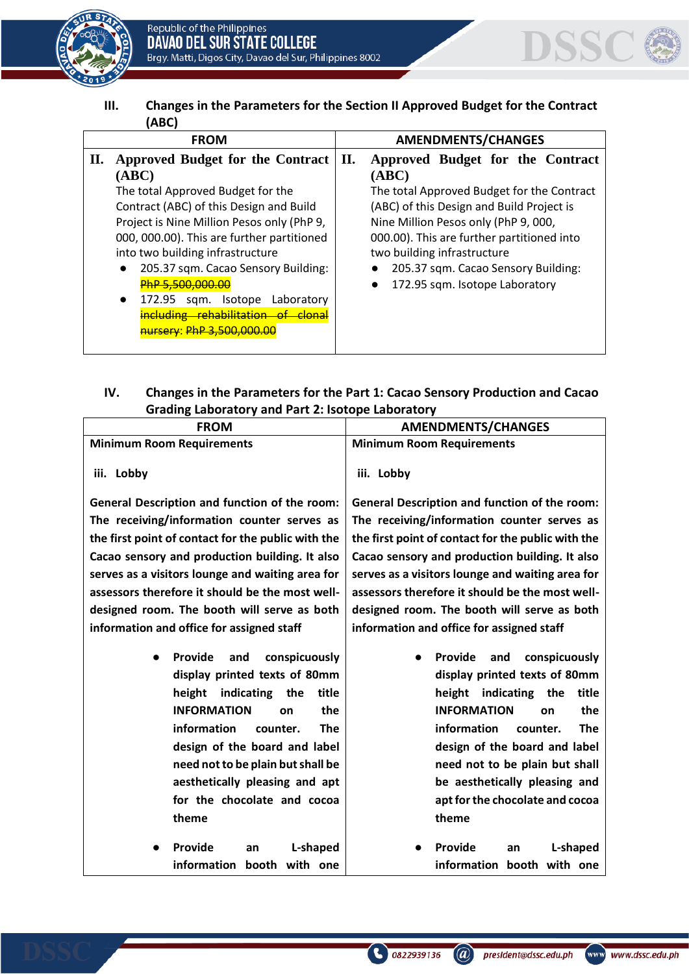



**III. Changes in the Parameters for the Section II Approved Budget for the Contract (ABC)**

|    | <b>FROM</b>                                          | <b>AMENDMENTS/CHANGES</b> |                                            |  |  |  |  |
|----|------------------------------------------------------|---------------------------|--------------------------------------------|--|--|--|--|
| П. | Approved Budget for the Contract                     | П.                        | Approved Budget for the Contract           |  |  |  |  |
|    | (ABC)                                                |                           | (ABC)                                      |  |  |  |  |
|    | The total Approved Budget for the                    |                           | The total Approved Budget for the Contract |  |  |  |  |
|    | Contract (ABC) of this Design and Build              |                           | (ABC) of this Design and Build Project is  |  |  |  |  |
|    | Project is Nine Million Pesos only (PhP 9,           |                           | Nine Million Pesos only (PhP 9, 000,       |  |  |  |  |
|    | 000, 000.00). This are further partitioned           |                           | 000.00). This are further partitioned into |  |  |  |  |
|    | into two building infrastructure                     |                           | two building infrastructure                |  |  |  |  |
|    | 205.37 sqm. Cacao Sensory Building:<br>$\bullet$     |                           | 205.37 sqm. Cacao Sensory Building:        |  |  |  |  |
|    | PhP 5,500,000.00                                     |                           | 172.95 sqm. Isotope Laboratory             |  |  |  |  |
|    | 172.95<br>Isotope<br>Laboratory<br>$\bullet$<br>sgm. |                           |                                            |  |  |  |  |
|    | including rehabilitation of clonal                   |                           |                                            |  |  |  |  |
|    | <u> nursery: PhP 3.500.000.00</u>                    |                           |                                            |  |  |  |  |
|    |                                                      |                           |                                            |  |  |  |  |

## **IV. Changes in the Parameters for the Part 1: Cacao Sensory Production and Cacao Grading Laboratory and Part 2: Isotope Laboratory**

| <b>FROM</b>                                        | <b>AMENDMENTS/CHANGES</b>                            |  |  |  |  |  |
|----------------------------------------------------|------------------------------------------------------|--|--|--|--|--|
| <b>Minimum Room Requirements</b>                   | <b>Minimum Room Requirements</b>                     |  |  |  |  |  |
| iii. Lobby                                         | iii. Lobby                                           |  |  |  |  |  |
| General Description and function of the room:      | <b>General Description and function of the room:</b> |  |  |  |  |  |
| The receiving/information counter serves as        | The receiving/information counter serves as          |  |  |  |  |  |
| the first point of contact for the public with the | the first point of contact for the public with the   |  |  |  |  |  |
| Cacao sensory and production building. It also     | Cacao sensory and production building. It also       |  |  |  |  |  |
| serves as a visitors lounge and waiting area for   | serves as a visitors lounge and waiting area for     |  |  |  |  |  |
| assessors therefore it should be the most well-    | assessors therefore it should be the most well-      |  |  |  |  |  |
| designed room. The booth will serve as both        | designed room. The booth will serve as both          |  |  |  |  |  |
| information and office for assigned staff          | information and office for assigned staff            |  |  |  |  |  |
| Provide                                            | Provide                                              |  |  |  |  |  |
| conspicuously<br>and<br>$\bullet$                  | and<br>conspicuously<br>$\bullet$                    |  |  |  |  |  |
| display printed texts of 80mm                      | display printed texts of 80mm                        |  |  |  |  |  |
| indicating<br>the<br>title<br>height               | height indicating<br>the<br>title                    |  |  |  |  |  |
| the<br><b>INFORMATION</b><br>on                    | <b>INFORMATION</b><br>the<br>on                      |  |  |  |  |  |
| information<br><b>The</b><br>counter.              | information<br><b>The</b><br>counter.                |  |  |  |  |  |
| design of the board and label                      | design of the board and label                        |  |  |  |  |  |
| need not to be plain but shall be                  | need not to be plain but shall                       |  |  |  |  |  |
| aesthetically pleasing and apt                     | be aesthetically pleasing and                        |  |  |  |  |  |
| for the chocolate and cocoa                        | apt for the chocolate and cocoa                      |  |  |  |  |  |
| theme                                              | theme                                                |  |  |  |  |  |
| Provide<br>L-shaped<br>an                          | Provide<br>L-shaped<br>an                            |  |  |  |  |  |
| information booth with one                         | information booth with one                           |  |  |  |  |  |

(a) president@dssc.edu.ph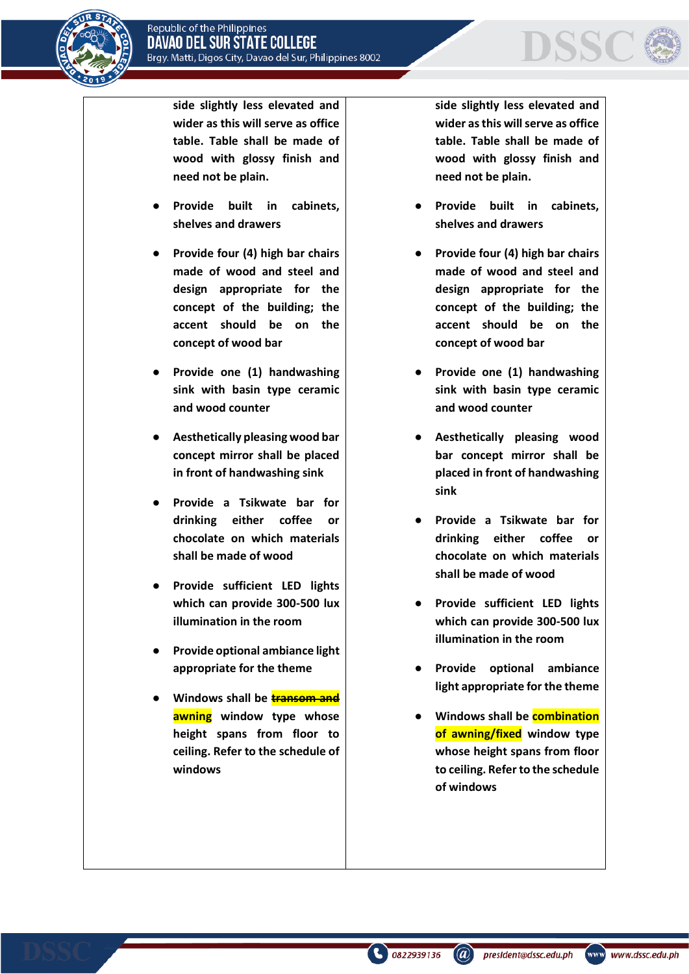



**side slightly less elevated and wider as this will serve as office table. Table shall be made of wood with glossy finish and need not be plain.**

- Provide built in cabinets, **shelves and drawers**
- **Provide four (4) high bar chairs made of wood and steel and design appropriate for the concept of the building; the accent should be on the concept of wood bar**
- **Provide one (1) handwashing sink with basin type ceramic and wood counter**
- **Aesthetically pleasing wood bar concept mirror shall be placed in front of handwashing sink**
- **Provide a Tsikwate bar for drinking either coffee or chocolate on which materials shall be made of wood**
- **Provide sufficient LED lights which can provide 300-500 lux illumination in the room**
- **Provide optional ambiance light appropriate for the theme**
- **Windows shall be transom and awning window type whose height spans from floor to ceiling. Refer to the schedule of windows**

**side slightly less elevated and wider as this will serve as office table. Table shall be made of wood with glossy finish and need not be plain.**

- **Provide built in cabinets, shelves and drawers**
- **Provide four (4) high bar chairs made of wood and steel and design appropriate for the concept of the building; the accent should be on the concept of wood bar**
- **Provide one (1) handwashing sink with basin type ceramic and wood counter**
- **Aesthetically pleasing wood bar concept mirror shall be placed in front of handwashing sink**
- **Provide a Tsikwate bar for drinking either coffee or chocolate on which materials shall be made of wood**
- **Provide sufficient LED lights which can provide 300-500 lux illumination in the room**
- **Provide optional ambiance light appropriate for the theme**
- **Windows shall be combination of awning/fixed window type whose height spans from floor to ceiling. Refer to the schedule of windows**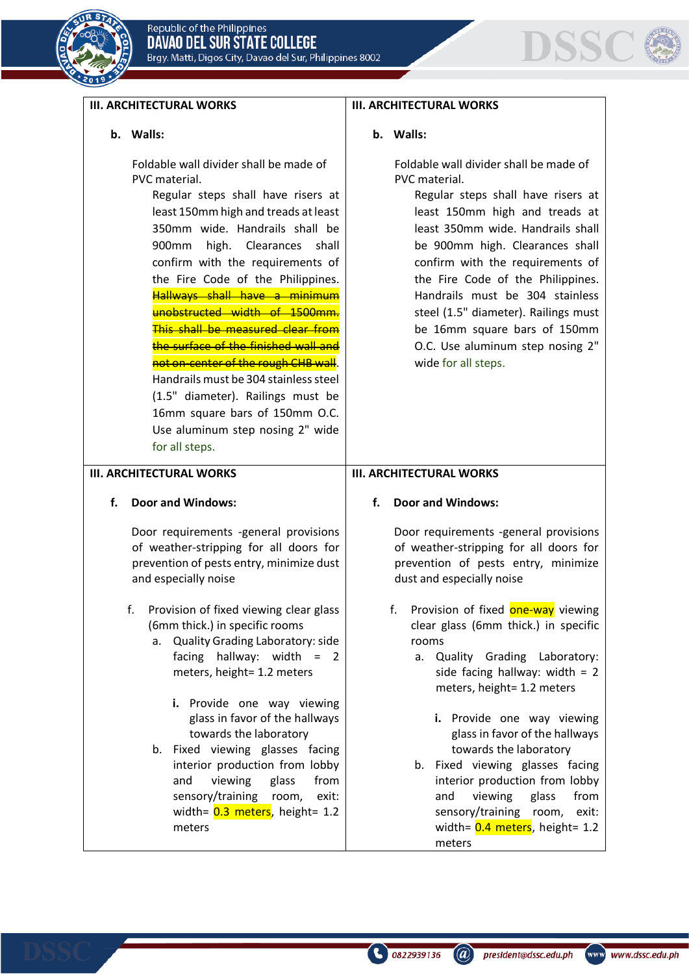



#### **III. ARCHITECTURAL WORKS**

#### **b. Walls:**

Foldable wall divider shall be made of PVC material.

> Regular steps shall have risers at least 150mm high and treads at least 350mm wide. Handrails shall be 900mm high. Clearances shall confirm with the requirements of the Fire Code of the Philippines. Hallways shall have a minimum unobstructed width of 1500mm. This shall be measured clear from the surface of the finished wall and not on-center of the rough CHB wall. Handrails must be 304 stainless steel (1.5" diameter). Railings must be 16mm square bars of 150mm O.C. Use aluminum step nosing 2" wide for all steps.

#### **III. ARCHITECTURAL WORKS**

#### **f. Door and Windows:**

Door requirements -general provisions of weather-stripping for all doors for prevention of pests entry, minimize dust and especially noise

- f. Provision of fixed viewing clear glass (6mm thick.) in specific rooms
	- a. Quality Grading Laboratory: side facing hallway: width = 2 meters, height= 1.2 meters
		- **i.** Provide one way viewing glass in favor of the hallways towards the laboratory
	- b. Fixed viewing glasses facing interior production from lobby and viewing glass from sensory/training room, exit: width=  $0.3$  meters, height= 1.2 meters

#### **III. ARCHITECTURAL WORKS**

#### **b. Walls:**

Foldable wall divider shall be made of PVC material.

Regular steps shall have risers at least 150mm high and treads at least 350mm wide. Handrails shall be 900mm high. Clearances shall confirm with the requirements of the Fire Code of the Philippines. Handrails must be 304 stainless steel (1.5" diameter). Railings must be 16mm square bars of 150mm O.C. Use aluminum step nosing 2" wide for all steps.

#### **III. ARCHITECTURAL WORKS**

#### **f. Door and Windows:**

Door requirements -general provisions of weather-stripping for all doors for prevention of pests entry, minimize dust and especially noise

- f. Provision of fixed **one-way** viewing clear glass (6mm thick.) in specific rooms
	- a. Quality Grading Laboratory: side facing hallway: width  $= 2$ meters, height= 1.2 meters
		- **i.** Provide one way viewing glass in favor of the hallways towards the laboratory
	- b. Fixed viewing glasses facing interior production from lobby and viewing glass from sensory/training room, exit: width=  $0.4$  meters, height= 1.2 meters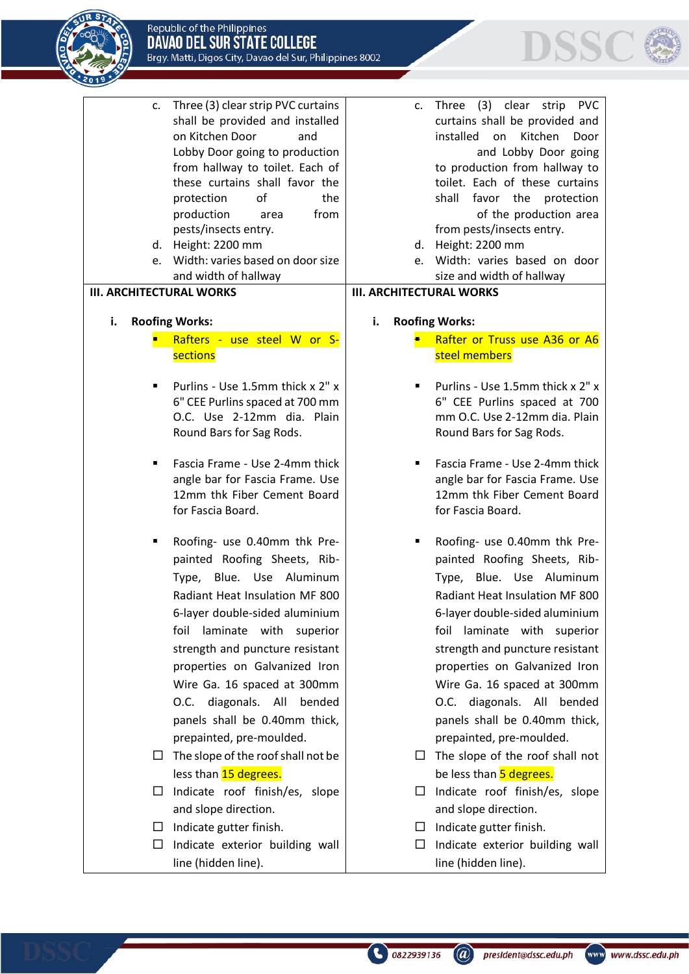



- c. Three (3) clear strip PVC curtains shall be provided and installed on Kitchen Door and Lobby Door going to production from hallway to toilet. Each of these curtains shall favor the protection of the production area from pests/insects entry.
- d. Height: 2200 mm
- e. Width: varies based on door size and width of hallway

#### **III. ARCHITECTURAL WORKS**

- **i. Roofing Works:**
	- Rafters use steel W or S**sections**
	- Purlins Use 1.5mm thick x 2" x 6" CEE Purlins spaced at 700 mm O.C. Use 2-12mm dia. Plain Round Bars for Sag Rods.
	- Fascia Frame Use 2-4mm thick angle bar for Fascia Frame. Use 12mm thk Fiber Cement Board for Fascia Board.
	- Roofing- use 0.40mm thk Prepainted Roofing Sheets, Rib-Type, Blue. Use Aluminum Radiant Heat Insulation MF 800 6-layer double-sided aluminium foil laminate with superior strength and puncture resistant properties on Galvanized Iron Wire Ga. 16 spaced at 300mm O.C. diagonals. All bended panels shall be 0.40mm thick, prepainted, pre-moulded.
	- $\Box$  The slope of the roof shall not be less than 15 degrees.
	- $\Box$  Indicate roof finish/es, slope and slope direction.
	- $\Box$  Indicate gutter finish.
	- $\Box$  Indicate exterior building wall line (hidden line).
- c. Three (3) clear strip PVC curtains shall be provided and installed on Kitchen Door and Lobby Door going to production from hallway to toilet. Each of these curtains shall favor the protection of the production area from pests/insects entry.
- d. Height: 2200 mm
- e. Width: varies based on door size and width of hallway

#### **III. ARCHITECTURAL WORKS**

- **i. Roofing Works:**
	- **E** Rafter or Truss use A36 or A6 steel members
	- Purlins Use 1.5mm thick x 2" x 6" CEE Purlins spaced at 700 mm O.C. Use 2-12mm dia. Plain Round Bars for Sag Rods.
	- Fascia Frame Use 2-4mm thick angle bar for Fascia Frame. Use 12mm thk Fiber Cement Board for Fascia Board.
	- Roofing- use 0.40mm thk Prepainted Roofing Sheets, Rib-Type, Blue. Use Aluminum Radiant Heat Insulation MF 800 6-layer double-sided aluminium foil laminate with superior strength and puncture resistant properties on Galvanized Iron Wire Ga. 16 spaced at 300mm O.C. diagonals. All bended panels shall be 0.40mm thick, prepainted, pre-moulded.
	- $\Box$  The slope of the roof shall not be less than 5 degrees.
	- $\Box$  Indicate roof finish/es, slope and slope direction.
	- $\Box$  Indicate gutter finish.

 $\binom{1}{2}$  0822939136

 $\Box$  Indicate exterior building wall line (hidden line).

www www.dssc.edu.ph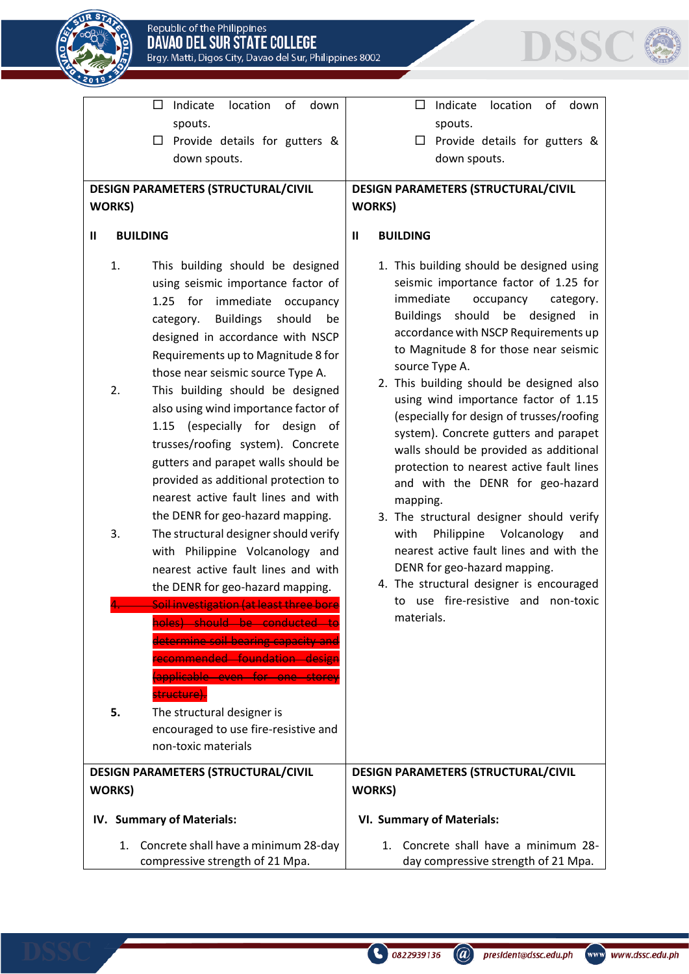



| $\Box$                                      | of<br>Indicate<br>location<br>down                                                                                                                                                                                                                                                                                                                                                                                                                                                                                                                              |                                            | Indicate<br>location<br>of<br>down<br>$\Box$                                                                                                                                                                                                                                                                                                                                                                                                                                                                                                                                                                                             |  |  |  |  |  |
|---------------------------------------------|-----------------------------------------------------------------------------------------------------------------------------------------------------------------------------------------------------------------------------------------------------------------------------------------------------------------------------------------------------------------------------------------------------------------------------------------------------------------------------------------------------------------------------------------------------------------|--------------------------------------------|------------------------------------------------------------------------------------------------------------------------------------------------------------------------------------------------------------------------------------------------------------------------------------------------------------------------------------------------------------------------------------------------------------------------------------------------------------------------------------------------------------------------------------------------------------------------------------------------------------------------------------------|--|--|--|--|--|
|                                             | spouts.                                                                                                                                                                                                                                                                                                                                                                                                                                                                                                                                                         |                                            | spouts.                                                                                                                                                                                                                                                                                                                                                                                                                                                                                                                                                                                                                                  |  |  |  |  |  |
| ப                                           | Provide details for gutters &                                                                                                                                                                                                                                                                                                                                                                                                                                                                                                                                   |                                            | Provide details for gutters &<br>$\Box$                                                                                                                                                                                                                                                                                                                                                                                                                                                                                                                                                                                                  |  |  |  |  |  |
|                                             | down spouts.                                                                                                                                                                                                                                                                                                                                                                                                                                                                                                                                                    |                                            | down spouts.                                                                                                                                                                                                                                                                                                                                                                                                                                                                                                                                                                                                                             |  |  |  |  |  |
|                                             | DESIGN PARAMETERS (STRUCTURAL/CIVIL                                                                                                                                                                                                                                                                                                                                                                                                                                                                                                                             | <b>DESIGN PARAMETERS (STRUCTURAL/CIVIL</b> |                                                                                                                                                                                                                                                                                                                                                                                                                                                                                                                                                                                                                                          |  |  |  |  |  |
| <b>WORKS</b> )                              |                                                                                                                                                                                                                                                                                                                                                                                                                                                                                                                                                                 | <b>WORKS)</b>                              |                                                                                                                                                                                                                                                                                                                                                                                                                                                                                                                                                                                                                                          |  |  |  |  |  |
|                                             |                                                                                                                                                                                                                                                                                                                                                                                                                                                                                                                                                                 |                                            |                                                                                                                                                                                                                                                                                                                                                                                                                                                                                                                                                                                                                                          |  |  |  |  |  |
| $\mathbf{I}$<br><b>BUILDING</b>             |                                                                                                                                                                                                                                                                                                                                                                                                                                                                                                                                                                 | Ш                                          | <b>BUILDING</b>                                                                                                                                                                                                                                                                                                                                                                                                                                                                                                                                                                                                                          |  |  |  |  |  |
| 1.<br>$1.25$ for<br>category.<br>2.<br>1.15 | This building should be designed<br>using seismic importance factor of<br>immediate<br>occupancy<br><b>Buildings</b><br>should<br>be<br>designed in accordance with NSCP<br>Requirements up to Magnitude 8 for<br>those near seismic source Type A.<br>This building should be designed<br>also using wind importance factor of<br>(especially for design<br>_of<br>trusses/roofing system). Concrete<br>gutters and parapet walls should be<br>provided as additional protection to<br>nearest active fault lines and with<br>the DENR for geo-hazard mapping. |                                            | 1. This building should be designed using<br>seismic importance factor of 1.25 for<br>immediate<br>occupancy<br>category.<br>should be<br><b>Buildings</b><br>designed in<br>accordance with NSCP Requirements up<br>to Magnitude 8 for those near seismic<br>source Type A.<br>2. This building should be designed also<br>using wind importance factor of 1.15<br>(especially for design of trusses/roofing<br>system). Concrete gutters and parapet<br>walls should be provided as additional<br>protection to nearest active fault lines<br>and with the DENR for geo-hazard<br>mapping.<br>3. The structural designer should verify |  |  |  |  |  |
| 3.                                          | The structural designer should verify<br>with Philippine Volcanology and<br>nearest active fault lines and with<br>the DENR for geo-hazard mapping.                                                                                                                                                                                                                                                                                                                                                                                                             |                                            | Philippine Volcanology<br>with<br>and<br>nearest active fault lines and with the<br>DENR for geo-hazard mapping.<br>4. The structural designer is encouraged                                                                                                                                                                                                                                                                                                                                                                                                                                                                             |  |  |  |  |  |
|                                             | متملح مسماط بالمتمتم البالم أرجيتم اللمس الممت                                                                                                                                                                                                                                                                                                                                                                                                                                                                                                                  |                                            | to use fire-resistive and non-toxic                                                                                                                                                                                                                                                                                                                                                                                                                                                                                                                                                                                                      |  |  |  |  |  |
| 5.                                          | وملومك مواسوا والمستحمون والمستحق<br><del>ecommended foundation de</del><br>applicable even for one storey<br><del>tructure'</del><br>The structural designer is<br>encouraged to use fire-resistive and<br>non-toxic materials                                                                                                                                                                                                                                                                                                                                 |                                            | materials.                                                                                                                                                                                                                                                                                                                                                                                                                                                                                                                                                                                                                               |  |  |  |  |  |
|                                             | DESIGN PARAMETERS (STRUCTURAL/CIVIL                                                                                                                                                                                                                                                                                                                                                                                                                                                                                                                             | <b>DESIGN PARAMETERS (STRUCTURAL/CIVIL</b> |                                                                                                                                                                                                                                                                                                                                                                                                                                                                                                                                                                                                                                          |  |  |  |  |  |
| <b>WORKS)</b>                               |                                                                                                                                                                                                                                                                                                                                                                                                                                                                                                                                                                 | <b>WORKS)</b>                              |                                                                                                                                                                                                                                                                                                                                                                                                                                                                                                                                                                                                                                          |  |  |  |  |  |
| IV. Summary of Materials:                   |                                                                                                                                                                                                                                                                                                                                                                                                                                                                                                                                                                 |                                            | <b>VI. Summary of Materials:</b>                                                                                                                                                                                                                                                                                                                                                                                                                                                                                                                                                                                                         |  |  |  |  |  |
| 1.                                          | Concrete shall have a minimum 28-day<br>compressive strength of 21 Mpa.                                                                                                                                                                                                                                                                                                                                                                                                                                                                                         | 1.                                         | Concrete shall have a minimum 28-<br>day compressive strength of 21 Mpa.                                                                                                                                                                                                                                                                                                                                                                                                                                                                                                                                                                 |  |  |  |  |  |



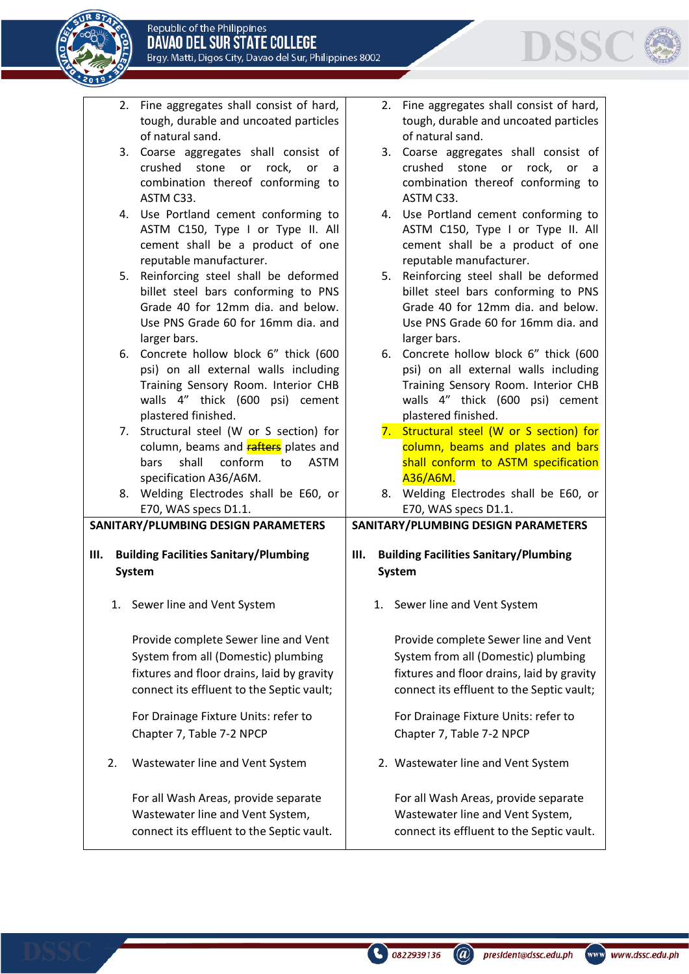



|    |                                              | 2. Fine aggregates shall consist of hard,<br>tough, durable and uncoated particles |        |    | 2. Fine aggregates shall consist of hard,<br>tough, durable and uncoated particles |  |  |  |  |  |
|----|----------------------------------------------|------------------------------------------------------------------------------------|--------|----|------------------------------------------------------------------------------------|--|--|--|--|--|
|    |                                              | of natural sand.                                                                   |        |    | of natural sand.                                                                   |  |  |  |  |  |
|    | 3.                                           | Coarse aggregates shall consist of                                                 |        | 3. | Coarse aggregates shall consist of                                                 |  |  |  |  |  |
|    |                                              | crushed stone or<br>rock,<br>or<br>a                                               |        |    | crushed stone<br>or rock,<br>or<br>a                                               |  |  |  |  |  |
|    |                                              | combination thereof conforming to                                                  |        |    | combination thereof conforming to                                                  |  |  |  |  |  |
|    |                                              | ASTM C33.                                                                          |        |    | ASTM C33.                                                                          |  |  |  |  |  |
|    |                                              |                                                                                    |        |    |                                                                                    |  |  |  |  |  |
|    |                                              | 4. Use Portland cement conforming to                                               |        |    | 4. Use Portland cement conforming to                                               |  |  |  |  |  |
|    |                                              | ASTM C150, Type I or Type II. All                                                  |        |    | ASTM C150, Type I or Type II. All                                                  |  |  |  |  |  |
|    |                                              | cement shall be a product of one                                                   |        |    | cement shall be a product of one                                                   |  |  |  |  |  |
|    |                                              | reputable manufacturer.                                                            |        |    | reputable manufacturer.                                                            |  |  |  |  |  |
|    |                                              | 5. Reinforcing steel shall be deformed                                             |        |    | 5. Reinforcing steel shall be deformed                                             |  |  |  |  |  |
|    |                                              | billet steel bars conforming to PNS                                                |        |    | billet steel bars conforming to PNS                                                |  |  |  |  |  |
|    |                                              | Grade 40 for 12mm dia. and below.                                                  |        |    | Grade 40 for 12mm dia. and below.                                                  |  |  |  |  |  |
|    |                                              | Use PNS Grade 60 for 16mm dia. and                                                 |        |    | Use PNS Grade 60 for 16mm dia. and                                                 |  |  |  |  |  |
|    |                                              | larger bars.                                                                       |        |    | larger bars.                                                                       |  |  |  |  |  |
|    |                                              | 6. Concrete hollow block 6" thick (600                                             |        | 6. | Concrete hollow block 6" thick (600                                                |  |  |  |  |  |
|    |                                              | psi) on all external walls including                                               |        |    | psi) on all external walls including                                               |  |  |  |  |  |
|    |                                              | Training Sensory Room. Interior CHB                                                |        |    | Training Sensory Room. Interior CHB                                                |  |  |  |  |  |
|    |                                              |                                                                                    |        |    |                                                                                    |  |  |  |  |  |
|    |                                              | walls 4" thick (600 psi) cement                                                    |        |    | walls 4" thick (600 psi) cement                                                    |  |  |  |  |  |
|    |                                              | plastered finished.                                                                |        |    | plastered finished.                                                                |  |  |  |  |  |
|    |                                              | 7. Structural steel (W or S section) for                                           |        |    | 7. Structural steel (W or S section) for                                           |  |  |  |  |  |
|    |                                              | column, beams and <b>rafters</b> plates and                                        |        |    | column, beams and plates and bars                                                  |  |  |  |  |  |
|    |                                              | shall<br>conform<br><b>ASTM</b><br>bars<br>to                                      |        |    | shall conform to ASTM specification                                                |  |  |  |  |  |
|    |                                              | specification A36/A6M.                                                             |        |    | A36/A6M.                                                                           |  |  |  |  |  |
|    |                                              | 8. Welding Electrodes shall be E60, or                                             |        | 8. | Welding Electrodes shall be E60, or                                                |  |  |  |  |  |
|    |                                              | E70, WAS specs D1.1.                                                               |        |    | E70, WAS specs D1.1.                                                               |  |  |  |  |  |
|    |                                              | SANITARY/PLUMBING DESIGN PARAMETERS                                                |        |    | SANITARY/PLUMBING DESIGN PARAMETERS                                                |  |  |  |  |  |
|    |                                              |                                                                                    |        |    |                                                                                    |  |  |  |  |  |
| Ш. | <b>Building Facilities Sanitary/Plumbing</b> |                                                                                    |        |    | <b>Building Facilities Sanitary/Plumbing</b><br>Ш.                                 |  |  |  |  |  |
|    |                                              | <b>System</b>                                                                      | System |    |                                                                                    |  |  |  |  |  |
|    |                                              |                                                                                    |        |    |                                                                                    |  |  |  |  |  |
|    |                                              | 1. Sewer line and Vent System                                                      |        |    | 1. Sewer line and Vent System                                                      |  |  |  |  |  |
|    |                                              |                                                                                    |        |    |                                                                                    |  |  |  |  |  |
|    |                                              | Provide complete Sewer line and Vent                                               |        |    | Provide complete Sewer line and Vent                                               |  |  |  |  |  |
|    |                                              |                                                                                    |        |    |                                                                                    |  |  |  |  |  |
|    |                                              | System from all (Domestic) plumbing                                                |        |    | System from all (Domestic) plumbing                                                |  |  |  |  |  |
|    |                                              | fixtures and floor drains, laid by gravity                                         |        |    | fixtures and floor drains, laid by gravity                                         |  |  |  |  |  |
|    |                                              | connect its effluent to the Septic vault;                                          |        |    | connect its effluent to the Septic vault;                                          |  |  |  |  |  |
|    |                                              |                                                                                    |        |    |                                                                                    |  |  |  |  |  |
|    |                                              | For Drainage Fixture Units: refer to                                               |        |    | For Drainage Fixture Units: refer to                                               |  |  |  |  |  |
|    |                                              | Chapter 7, Table 7-2 NPCP                                                          |        |    | Chapter 7, Table 7-2 NPCP                                                          |  |  |  |  |  |
|    |                                              |                                                                                    |        |    |                                                                                    |  |  |  |  |  |
|    | 2.                                           | Wastewater line and Vent System                                                    |        |    | 2. Wastewater line and Vent System                                                 |  |  |  |  |  |
|    |                                              |                                                                                    |        |    |                                                                                    |  |  |  |  |  |
|    |                                              | For all Wash Areas, provide separate                                               |        |    | For all Wash Areas, provide separate                                               |  |  |  |  |  |
|    |                                              | Wastewater line and Vent System,                                                   |        |    | Wastewater line and Vent System,                                                   |  |  |  |  |  |
|    |                                              |                                                                                    |        |    |                                                                                    |  |  |  |  |  |
|    |                                              | connect its effluent to the Septic vault.                                          |        |    | connect its effluent to the Septic vault.                                          |  |  |  |  |  |

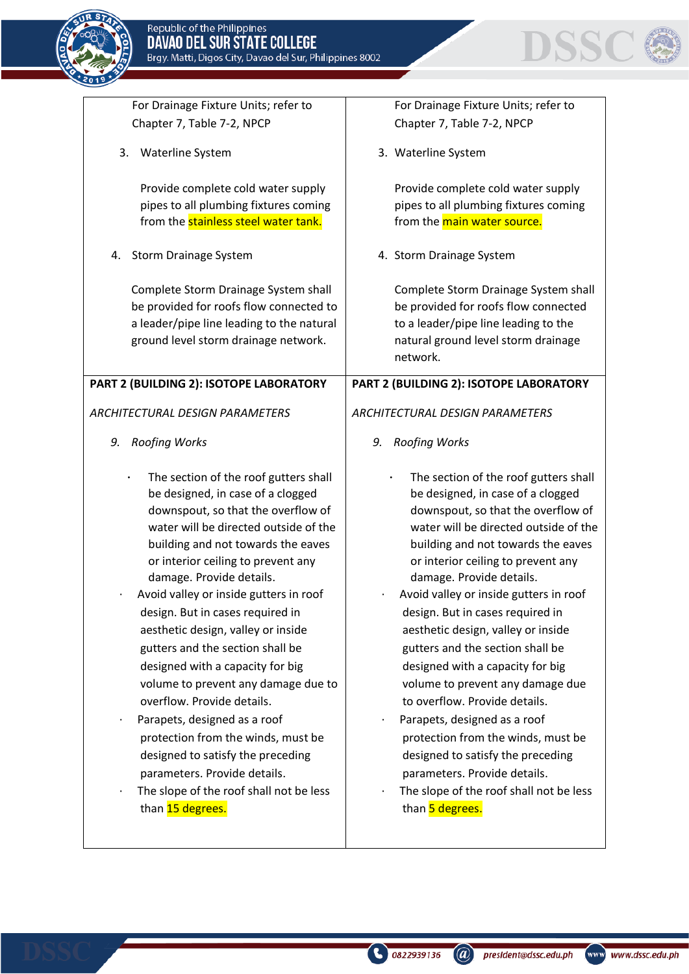



| For Drainage Fixture Units; refer to                                                                                                                                                                                                                                                                                                                                                                                                                                                                                                                                                                                                                                                                                                                      | For Drainage Fixture Units; refer to                                                                                                                                                                                                                                                                                                                                                                                                                                                                                                                                                                                                                                                                                                                     |
|-----------------------------------------------------------------------------------------------------------------------------------------------------------------------------------------------------------------------------------------------------------------------------------------------------------------------------------------------------------------------------------------------------------------------------------------------------------------------------------------------------------------------------------------------------------------------------------------------------------------------------------------------------------------------------------------------------------------------------------------------------------|----------------------------------------------------------------------------------------------------------------------------------------------------------------------------------------------------------------------------------------------------------------------------------------------------------------------------------------------------------------------------------------------------------------------------------------------------------------------------------------------------------------------------------------------------------------------------------------------------------------------------------------------------------------------------------------------------------------------------------------------------------|
| Chapter 7, Table 7-2, NPCP                                                                                                                                                                                                                                                                                                                                                                                                                                                                                                                                                                                                                                                                                                                                | Chapter 7, Table 7-2, NPCP                                                                                                                                                                                                                                                                                                                                                                                                                                                                                                                                                                                                                                                                                                                               |
| Waterline System<br>3.                                                                                                                                                                                                                                                                                                                                                                                                                                                                                                                                                                                                                                                                                                                                    | 3. Waterline System                                                                                                                                                                                                                                                                                                                                                                                                                                                                                                                                                                                                                                                                                                                                      |
| Provide complete cold water supply<br>pipes to all plumbing fixtures coming<br>from the stainless steel water tank.<br>Storm Drainage System<br>4.<br>Complete Storm Drainage System shall<br>be provided for roofs flow connected to<br>a leader/pipe line leading to the natural<br>ground level storm drainage network.                                                                                                                                                                                                                                                                                                                                                                                                                                | Provide complete cold water supply<br>pipes to all plumbing fixtures coming<br>from the main water source.<br>4. Storm Drainage System<br>Complete Storm Drainage System shall<br>be provided for roofs flow connected<br>to a leader/pipe line leading to the<br>natural ground level storm drainage                                                                                                                                                                                                                                                                                                                                                                                                                                                    |
|                                                                                                                                                                                                                                                                                                                                                                                                                                                                                                                                                                                                                                                                                                                                                           | network.                                                                                                                                                                                                                                                                                                                                                                                                                                                                                                                                                                                                                                                                                                                                                 |
| PART 2 (BUILDING 2): ISOTOPE LABORATORY                                                                                                                                                                                                                                                                                                                                                                                                                                                                                                                                                                                                                                                                                                                   | PART 2 (BUILDING 2): ISOTOPE LABORATORY                                                                                                                                                                                                                                                                                                                                                                                                                                                                                                                                                                                                                                                                                                                  |
|                                                                                                                                                                                                                                                                                                                                                                                                                                                                                                                                                                                                                                                                                                                                                           |                                                                                                                                                                                                                                                                                                                                                                                                                                                                                                                                                                                                                                                                                                                                                          |
| <b>ARCHITECTURAL DESIGN PARAMETERS</b>                                                                                                                                                                                                                                                                                                                                                                                                                                                                                                                                                                                                                                                                                                                    | <b>ARCHITECTURAL DESIGN PARAMETERS</b>                                                                                                                                                                                                                                                                                                                                                                                                                                                                                                                                                                                                                                                                                                                   |
| 9.<br><b>Roofing Works</b>                                                                                                                                                                                                                                                                                                                                                                                                                                                                                                                                                                                                                                                                                                                                | <b>Roofing Works</b><br>9.                                                                                                                                                                                                                                                                                                                                                                                                                                                                                                                                                                                                                                                                                                                               |
| The section of the roof gutters shall<br>be designed, in case of a clogged<br>downspout, so that the overflow of<br>water will be directed outside of the<br>building and not towards the eaves<br>or interior ceiling to prevent any<br>damage. Provide details.<br>Avoid valley or inside gutters in roof<br>design. But in cases required in<br>aesthetic design, valley or inside<br>gutters and the section shall be<br>designed with a capacity for big<br>volume to prevent any damage due to<br>overflow. Provide details.<br>Parapets, designed as a roof<br>$\bullet$<br>protection from the winds, must be<br>designed to satisfy the preceding<br>parameters. Provide details.<br>The slope of the roof shall not be less<br>than 15 degrees. | The section of the roof gutters shall<br>be designed, in case of a clogged<br>downspout, so that the overflow of<br>water will be directed outside of the<br>building and not towards the eaves<br>or interior ceiling to prevent any<br>damage. Provide details.<br>Avoid valley or inside gutters in roof<br>design. But in cases required in<br>aesthetic design, valley or inside<br>gutters and the section shall be<br>designed with a capacity for big<br>volume to prevent any damage due<br>to overflow. Provide details.<br>Parapets, designed as a roof<br>$\bullet$<br>protection from the winds, must be<br>designed to satisfy the preceding<br>parameters. Provide details.<br>The slope of the roof shall not be less<br>than 5 degrees. |